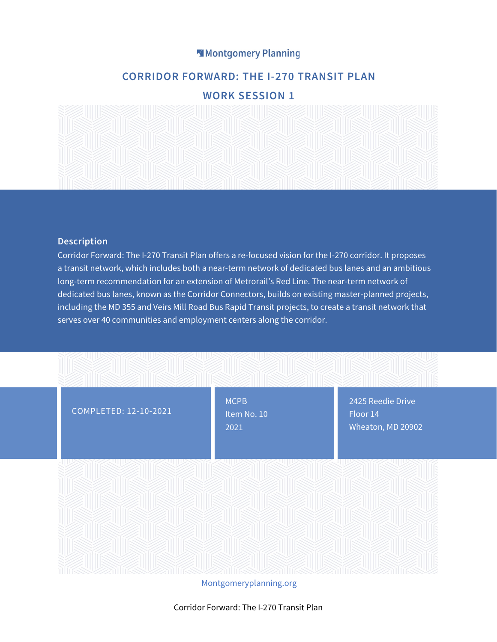# Montgomery Planning

# **CORRIDOR FORWARD: THE I-270 TRANSIT PLAN**

# **WORK SESSION 1**



#### **Description**

Corridor Forward: The I-270 Transit Plan offers a re-focused vision for the I-270 corridor. It proposes a transit network, which includes both a near-term network of dedicated bus lanes and an ambitious long-term recommendation for an extension of Metrorail's Red Line. The near-term network of dedicated bus lanes, known as the Corridor Connectors, builds on existing master-planned projects, including the MD 355 and Veirs Mill Road Bus Rapid Transit projects, to create a transit network that serves over 40 communities and employment centers along the corridor.



Montgomeryplanning.org

Corridor Forward: The I-270 Transit Plan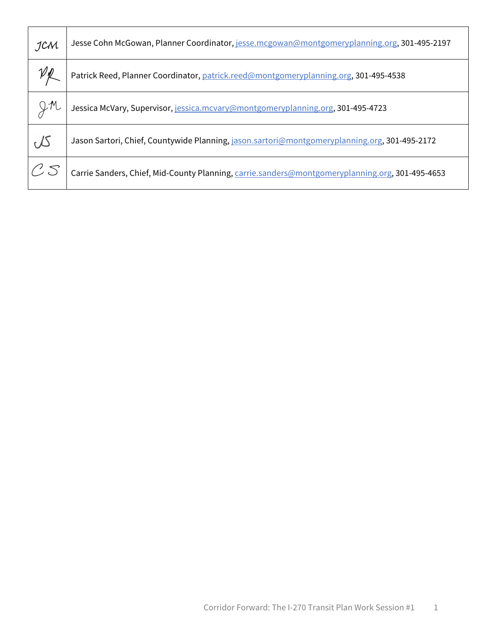| JCM                       | Jesse Cohn McGowan, Planner Coordinator, jesse.mcgowan@montgomeryplanning.org, 301-495-2197     |
|---------------------------|-------------------------------------------------------------------------------------------------|
|                           | Patrick Reed, Planner Coordinator, patrick.reed@montgomeryplanning.org, 301-495-4538            |
| $2^{\mathcal{M}}$         | Jessica McVary, Supervisor, jessica.mcvary@montgomeryplanning.org, 301-495-4723                 |
| $\infty$                  | Jason Sartori, Chief, Countywide Planning, jason.sartori@montgomeryplanning.org, 301-495-2172   |
| $\mathcal{C} \mathcal{S}$ | Carrie Sanders, Chief, Mid-County Planning, carrie.sanders@montgomeryplanning.org, 301-495-4653 |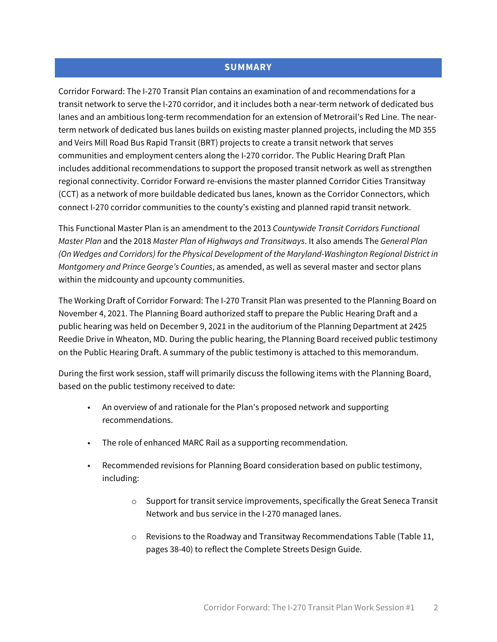# **SUMMARY**

Corridor Forward: The I-270 Transit Plan contains an examination of and recommendations for a transit network to serve the I-270 corridor, and it includes both a near-term network of dedicated bus lanes and an ambitious long-term recommendation for an extension of Metrorail's Red Line. The nearterm network of dedicated bus lanes builds on existing master planned projects, including the MD 355 and Veirs Mill Road Bus Rapid Transit (BRT) projects to create a transit network that serves communities and employment centers along the I-270 corridor. The Public Hearing Draft Plan includes additional recommendations to support the proposed transit network as well as strengthen regional connectivity. Corridor Forward re-envisions the master planned Corridor Cities Transitway (CCT) as a network of more buildable dedicated bus lanes, known as the Corridor Connectors, which connect I-270 corridor communities to the county's existing and planned rapid transit network.

This Functional Master Plan is an amendment to the 2013 *Countywide Transit Corridors Functional Master Plan* and the 2018 *Master Plan of Highways and Transitways*. It also amends The *General Plan (On Wedges and Corridors) for the Physical Development of the Maryland-Washington Regional District in Montgomery and Prince George's Counties*, as amended, as well as several master and sector plans within the midcounty and upcounty communities.

The Working Draft of Corridor Forward: The I-270 Transit Plan was presented to the Planning Board on November 4, 2021. The Planning Board authorized staff to prepare the Public Hearing Draft and a public hearing was held on December 9, 2021 in the auditorium of the Planning Department at 2425 Reedie Drive in Wheaton, MD. During the public hearing, the Planning Board received public testimony on the Public Hearing Draft. A summary of the public testimony is attached to this memorandum.

During the first work session, staff will primarily discuss the following items with the Planning Board, based on the public testimony received to date:

- An overview of and rationale for the Plan's proposed network and supporting recommendations.
- The role of enhanced MARC Rail as a supporting recommendation.
- Recommended revisions for Planning Board consideration based on public testimony, including:
	- $\circ$  Support for transit service improvements, specifically the Great Seneca Transit Network and bus service in the I-270 managed lanes.
	- $\circ$  Revisions to the Roadway and Transitway Recommendations Table (Table 11, pages 38-40) to reflect the Complete Streets Design Guide.